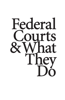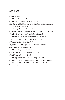# *Contents*

What Is a Court? 1 What Is a Federal Court? 2 What Kinds of Federal Courts Are There? 2 *Map:* Geographical Boundaries of U.S. Courts of Appeals and U.S. District Courts 3 Who Sets Up the Federal Court System? 4 What's the Difference Between Civil Cases and Criminal Cases? 4 What Kinds of Cases Are Tried in State Courts? 5 What Kinds of Cases Are Tried in Federal Courts? 6 How Does a Case Come into a Federal Court? 7 Is There a Trial for Every Case? 8 *Diagram:* The Court Systems of the United States 9 May I Watch a Trial in Progress? 10 What Is the Purpose of the Trial? 10 Who Are the People in the Courtroom? 12 What Happens During a Trial? 15 What Happens After the Trial or Guilty Plea? 20 What Are Some of the Most Noteworthy Facts and Concepts You Should Remember About the Federal Courts? 24 Glossary 25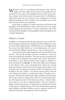$\mathbf{W}$ elcome to the U.S. Courthouse. During your visit, you'll see judges and their staffs, jurors, lawyers, and people who are involved in court cases. This pamphlet answers some of the questions visitors to the federal courts ask most often. It will help you understand what you see and hear in the courthouse. Of course, legal proceedings are often complex, and a pamphlet such as this may not answer all of your questions.

In the back is a glossary of legal terms that you'll find in this pamphlet. You'll probably hear many of these terms if you attend a proceeding in the courthouse. If you're confused by any of the words printed in boldface in this pamphlet, look in the glossary for a simple explanation.

#### What Is a Court?

A **court** is an institution that the government sets up to settle disputes through a legal process. People bring their disputes to court to resolve their disagreements: Did Bill Jones run a red light before his car ran into John Smith's, or was the light green, as he says it was? Did Frank Williams rob the bank, or was it someone else?

Courts decide what really happened and what should be done about it. They decide whether a person committed a crime and what the punishment should be. They also provide a peaceful way to decide private disputes that people can't resolve themselves. Sometimes, a court decision affects other people in addition to those involved in the **lawsuit**. In 1965, three high school students in Des Moines, Iowa, were suspended from school for wearing black arm bands to protest the war in Vietnam. They asked a court to declare the rule against arm bands invalid. The Supreme Court decided in the case, *Tinker v. Des Moines School District*, that the rule violated the students' constitutional right of freedom of expression. That decision affected the right of public school students all over the country to express their views in a nondisruptive manner. The Supreme Court's 1954 decision in *Brown v. Board of Education* had an even more widespread effect. The case involved a dispute between the parents of Linda Brown and their local board of education in Topeka, Kansas. The Court decided that requiring white children and black children to go to separate schools violated the Fourteenth Amendment of the Constitution.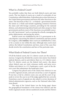# What Is a Federal Court?

You probably realize that there are both federal courts and state courts. The two kinds of courts are a result of a principle of our Constitution called federalism. Federalism gives some functions to the United States government and leaves the other functions to the states. The functions of the U.S.—or federal—government involve the nation as a whole and include regulating commerce between the states and with foreign countries, providing for the national defense, and administering federal lands and other property. State governments perform most of the functions you probably associate with "government," such as running the schools, managing the police departments, and paving the streets.

Federal courts are established by the U.S. government to decide disputes concerning the federal Constitution and laws passed by Congress, called **statutes**. State courts are established by a state, or by a county or city within the state. Although state courts must enforce the federal Constitution and laws, most of the cases they decide involve the constitution and laws of the particular state.

# What Kinds of Federal Courts Are There?

Of all the federal courts, the U.S. district courts are the most numerous. Congress has divided the country into ninety-four federal judicial districts, and in each district there is a U.S. district court. The U.S. district courts are the federal trial courts—the places where federal cases are tried, witnesses testify, and juries serve. Within each district is a U.S. bankruptcy court, a part of the district court that administers the bankruptcy laws.

Congress has placed each of the ninety-four districts in one of twelve regional circuits, and each circuit has a court of appeals. If you lose a trial in a district court, you can ask the court of appeals to review the case to see if the judge applied the law correctly. Sometimes courts of appeals are also asked to review decisions of federal administrative agencies, such as the National Labor Relations Board.

The map of the United States (on the facing page) shows the geographical boundaries of the ninety-four districts and the twelve regional circuits (eleven numbered circuits and the District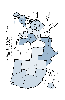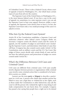of Columbia Circuit). There is also a Federal Circuit, whose court of appeals is based in Washington, D.C., but which hears certain types of cases from all over the country.

The Supreme Court of the United States, in Washington, D.C., is the most famous federal court. If you lose a case in the court of appeals (or, sometimes, in a state supreme court), you can ask the Supreme Court to hear your appeal. However, unlike a court of appeals, the Supreme Court doesn't have to hear it. In fact, the Supreme Court hears only a very small percentage of the cases it is asked to review.

# Who Sets Up the Federal Court System?

Article III of the Constitution establishes a Supreme Court and authorizes whatever other federal courts Congress thinks are necessary. Congress creates the district courts and the courts of appeals, sets the number of judges in each federal court (including the Supreme Court), and determines what kinds of cases they will hear. (Congress has also created courts under Article I of the Constitution, such as military courts and the U.S. Tax Court. But judges of those courts decide only certain kinds of cases and do not have the judicial powers and protections of judges on courts created under Article III.)

#### What's the Difference Between Civil Cases and Criminal Cases?

Civil cases are different from criminal cases. Civil cases usually involve disputes between persons or organizations while criminal cases involve some criminal action that is considered to be harmful to society as a whole.

Lawyers use the term **party** or **litigant** to describe a participant in a civil case. A person who claims that another person has failed to carry out a legal duty or violated his or her rights, such as those under the Constitution or other federal law, may ask the court to tell the person who violated the right to stop doing it and make compensation for any harm done. For example, Congress has passed a law saying that people have a right not to be denied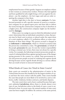employment because of their gender. Suppose an employer refuses to hire women as construction workers. Women who had applied and been qualified for jobs might bring a civil case against the employer—sue the employer—for lost wages and seek an order requiring the company to hire them.

Another legal duty is the duty to honor **contracts**. If a lumberyard promises to sell a specific amount of wood to a construction company for an agreed-upon price and then fails to deliver the wood, forcing the construction company to buy it elsewhere at a higher price, the construction company might sue the lumberyard for **damages**.

When a jury (or a judge in cases in which the defendant waived a jury) determines that an individual committed a crime, that person may be fined, sent to prison, or placed under the supervision of a court employee called a U.S. probation officer, or some combination of these three things. The person accused is charged in an **indictment** or **information**, which is a formal accusation that the person has committed a crime. The **government**, on behalf of the people, **prosecutes** the case. It is not the victim's responsibility to bring a criminal case. In fact, there may not always be a specific victim. For example, the federal government prosecutes people accused of violating federal laws against spying because of the danger spying presents to the country as a whole. State governments arrest and prosecute people accused of violating laws against drunk driving because society regards drunk driving as a serious offense that can result in harm to innocent bystanders.

#### What Kinds of Cases Are Tried in State Courts?

State courts are essential to the administration of justice in the United States because they handle by far the largest number of cases and have the most contact with the public. State courts handle the cases that people are most likely to be involved in, such as robberies, traffic violations, broken contracts, and family disputes.

The state courts have such a heavy caseload because their general, unlimited **jurisdiction** allows them to decide almost every type of case. Jurisdiction refers to the kinds of cases a court is authorized to hear. In recent years, the annual number of state court cases has been roughly 50 million. By contrast, in the same period,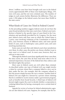about 2 million cases have been brought each year in the federal courts; approximately 80% of these were bankruptcy filings, 15% were civil cases, and the rest were criminal cases. The number of judges in each system further illustrates the difference: There are some 1,700 judges in the federal courts, but more than 30,000 in the state courts.

#### What Kinds of Cases Are Tried in Federal Courts?

As the preceding numbers suggest, federal courts do not have the same broad jurisdiction that state courts have. Federal court jurisdiction is limited to the specific types of cases listed in the Constitution and specifically provided for by Congress. For the most part, federal courts only hear cases in which the United States is a party, cases involving violations of the Constitution or federal laws, cases between citizens of different states, and some special kinds of cases, such as bankruptcy cases, patent cases, and cases involving maritime law.

Some cases are such that only federal courts have jurisdiction over them. In other cases, the parties can choose whether to go to state court or to federal court. In most cases, however, they can only go to state court.

Although the federal courts hear significantly fewer cases than the state courts, the cases they do hear tend more often to be of national importance, because of the federal laws they enforce and the federal rights they protect.

Most cases in federal courts are civil rather than criminal. As described earlier, one type of federal civil case might involve a claim by a private citizen that a company failed to carry out its duty under the law—for example, that the company refused to hire the person simply because she was a woman. Another kind of federal civil case might be a lawsuit by a private citizen claiming that he is entitled to receive money under a government program, such as benefits from Social Security. A third type of federal civil lawsuit might require the court to decide whether a corporation is violating federal laws by having a monopoly over a certain kind of business.

Appeals for review of actions by federal administrative agencies are also federal civil cases. Suppose, for example, that the En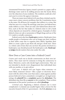vironmental Protection Agency issued a permit to a paper mill to discharge water used in its milling process into the Scenic River, over the objection of area residents. The residents could ask a federal court to review the agency's decision.

There are many more federal civil cases than criminal cases because most crimes concern problems that the Constitution leaves to the states. We all know, for example, that robbery is a crime. But what law says it is a crime? By and large, state laws, not federal laws, make robbery a crime. There are only a few federal laws about robbery, such as the law that makes it a federal crime to rob a bank whose deposits are insured by a federal agency. Examples of other federal crimes are sale or possession of illegal drugs and use of the U.S. mails to swindle consumers.

Federal courts also hear **bankruptcy** matters. Bankruptcy laws enable people or businesses who can no longer pay their creditors as their debts come due to organize their affairs, liquidate their debts or create a plan to pay them off, and get a fresh start. There is a whole code of laws that sets out how the parties involved in a bankruptcy case should proceed: the bankruptcy code. **Bankruptcy judges** decide matters that arise under the code.

#### How Does a Case Come into a Federal Court?

Courts can't reach out to decide controversies on their own initiative. They must wait for someone to bring the controversy to them. Moreover, courts only decide legal controversies. They are not intended to decide every disagreement that individuals have with one another, or to give advice.

*Civil cases.* A federal civil case begins when someone—or more likely, someone's lawyer—files a paper or electronic document with the clerk of the court that states a claim against another person believed to have committed a wrongful act. In legal terminology, the **plaintiff** files a **complaint** against the **defendant**. The defendant may then file an **answer** to the complaint. These written statements of the parties' positions are called **pleadings**.

*Criminal cases.* Beginning a federal criminal case is more complicated. A criminal case usually begins when a lawyer for the executive branch of the U.S. government—the **U.S. attorney** or an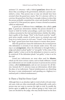assistant U.S. attorney—tells a federal **grand jury** about the evidence that, according to the government, indicates a person committed a crime. That person may or may not already have been arrested when the grand jury meets. The U.S. attorney will try to convince the grand jury that there is enough evidence to show that the person probably committed the crime and should be formally accused of it. If the grand jury agrees, it issues a formal accusation, called an indictment.

A grand jury is different from a **trial jury**, also called a **petit jury**. A grand jury determines whether the person should be released or held for further proceedings; a petit jury listens to the evidence presented at the trial and determines whether the defendant is guilty of the charge. "Petit" is the French word for "small"; petit juries usually consist of twelve jurors in criminal cases and from six to twelve jurors in civil cases. "Grand" is the French word for "large"; grand juries have from sixteen to twenty-three jurors.

After the grand jury issues the indictment, the accused person (the defendant) is arrested, if not already under arrest. The next step is an **arraignment**, where the defendant is brought before a judge and asked to plead "guilty" or "not guilty" of the crime. If the **plea** is "guilty," a time is set for the defendant to return to court to be sentenced. If the defendant pleads "not guilty," a time is set for the trial.

Grand jury indictments are most often used for **felonies**, which are the more serious crimes, such as bank robberies. Grand jury indictments are not usually necessary to prosecute less serious crimes, called **misdemeanors**, and are not necessary for all felonies. Instead, the U.S. attorney issues an information, which takes the place of an indictment. Typical misdemeanors are disturbing the peace (a state misdemeanor) and speeding on a highway in a national park (a federal misdemeanor).

#### Is There a Trial for Every Case?

Although there is an absolute right to trial in both civil and criminal cases, trials are often emotionally and financially costly, and a person may not want to exercise the right to trial. So usually the parties agree to **settle** the case without going to trial. Some civil cases are decided by the judge, who may decide based on the facts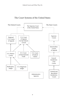# The Court Systems of the United States

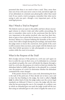presented that there is no need to have a trial. Thus, more than nine out of ten civil cases never come to trial, and about eight out of ten defendants in criminal cases plead guilty rather than stand trial. If you watch a trial in progress, remember that what you're seeing is only one part—though a very important part—of the total legal process.

# May I Watch a Trial in Progress?

The federal courts are open to the public and have always encouraged citizens to observe trials and other public proceedings. Be sure to remember when you're in the courtroom that the trial is very important to the parties involved, who may lose their freedom or gain or lose a great deal of money as a result of the court's decision. Behave in a manner befitting the formality of the courtroom. Don't talk or laugh during the proceedings, and stand when the judge enters or leaves the courtroom. Exit quietly if the court is still in session when you leave, and comply with the federal court rules that forbid spectators to take photographs or use tape recorders while the court is in session.

#### What Is the Purpose of the Trial?

*Role of judge and jury.* If the parties in a civil case can't agree on how to settle the case on their own, or if a defendant in a criminal case pleads not guilty, the court will decide the dispute through a trial. In a civil case, the purpose of a trial is to find out whether the defendant failed to fulfill a legal duty to the plaintiff. In a criminal case, the purpose of a trial is to determine whether the defendant committed the crime charged.

If the parties choose to have a jury trial, determining the facts is the task of the petit jury. If they decide not to have a jury and to leave the fact-finding to the judge, the trial is called a **bench trial**. In either kind of trial, the judge makes sure the correct legal standards are followed. If there is a jury, the judge tells the jury what the law governing the case is. For example, in a robbery case in which an unloaded gun was used, the judge would tell the jury that using an unloaded gun to rob a store is legally the same as us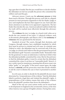ing a gun that is loaded. But the jury would have to decide whether the defendant on trial was actually the person who committed the robbery and used the gun.

*Adversary process.* Courts use the **adversary process** to help them reach a decision. Through this process, each side in a dispute presents its most persuasive arguments to the fact finder (judge or jury) and emphasizes the facts that support its case. Each side also draws attention to any flaws in its opponent's arguments. The fact finder then decides the case. American judicial tradition holds that the truth will be reached most effectively through this adversary process.

The **evidence** the jury (or judge, in a bench trial) relies on to decide the case consists of two types: (1) physical evidence, such as documents, photographs, and objects, and (2) the **testimony** of **witnesses** who are questioned by the lawyers.

*Standards of proof.* The courts, through their decisions, and Congress, through statutes, have established standards by which facts must be proven in criminal and civil cases. In criminal cases (federal or state), the defendant may be convicted only if the jury (or judge, in a bench trial) believes that the government has proved the defendant's guilt "beyond a reasonable doubt." Remember that for the grand jury to issue an indictment, it only has to believe that the defendant probably committed the crime. But for the petit jury to find the defendant guilty, it must be certain that the defendant committed the crime; it can have no "reasonable doubt" about it. A jury verdict must be unanimous, meaning that all jurors must vote either "guilty" or "not guilty." If the jurors cannot agree, the judge declares a **mistrial**, and the prosecutor must then decide whether to ask the court to dismiss the case or have it presented to another jury.

In civil cases, in order to decide for the plaintiff, the jury must determine by a "preponderance of the evidence" that the defendant failed to perform a legal duty and violated the plaintiff's rights. A preponderance of the evidence means that more of the evidence favors the plaintiff's position than favors the defendant's.

Much of the way our court system works can be traced back to developments in England in the seventeenth century, at the time when America was a group of English colonies. During that centu-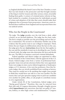ry, England abolished the hated Court of the Star Chamber, a court that was tied closely to the prosecutor and that brought enemies of the king to trial for treason and other serious crimes, invariably finding them guilty. A century of criminal justice reforms in England resulted in a number of protections for individuals accused of crimes and adoption of the idea that courts should make their judgments free of pressure from prosecutors. American courts inherited these traditions from England and incorporated them into our judicial system.

#### Who Are the People in the Courtroom?

*The judge.* The **judge** presides over the trial from a desk, called a bench, on an elevated platform. The judge has five basic tasks. The first is simply to preside over the proceedings and see that order is maintained. The second is to determine whether any of the evidence that the parties want to use is illegal or improper. Third, before the jury begins its deliberations about the facts in the case, the judge gives the jury **instructions** about the law that applies to the case and the standards it must use in deciding the case. Fourth, in bench trials, the judge must also determine the facts and decide the case. The fifth is to sentence convicted criminal defendants.

Federal appellate and district judges are appointed to office by the President of the United States, with the approval of the U.S. Senate. Federal judges come from a variety of professional backgrounds. Some were private attorneys before they were appointed. Some were judges in state courts, federal magistrate or bankruptcy judges, or U.S. attorneys. A few were law professors. Once they become judges, they are strictly prohibited from working as lawyers. They must be careful not to do anything that might cause people to think they would favor one side in a case over another. For this reason, they can't give speeches urging voters to pick one candidate over another for public office, or ask people to contribute money to civic organizations.

Under Article III of the Constitution, federal judges serve "during good behavior." Therefore, they may be removed from their jobs only if Congress determines, through a lengthy process called **impeachment** and conviction, that they are guilty of "treason, bribery, or other high crimes and misdemeanors." Congress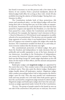has found it necessary to use this process only a few times in the history of our country. From a practical standpoint, almost all federal judges hold office for as long as they wish. Article III also prohibits lowering the salaries of federal judges "during their continuance in office."

The Constitution includes both of these protections—life tenure and unreduced salary—so that federal judges will not fear losing their jobs or having their pay cut if they make an unpopular decision. Sometimes the courts decide that a law that has been passed by Congress and signed by the President, or a law that has been passed by a state, violates the Constitution and should not be enforced. For example, the Supreme Court's decision in *Brown v. Board of Education* in 1954 declared racial segregation in public schools to be unconstitutional. This decision was not popular with large segments of society when it was handed down. Some members of Congress even wanted to replace the judges who made the decision. The Constitution wouldn't let them do so, and today, almost everyone realizes that the decision was right.

The constitutional protection of federal judges that gives them the freedom and independence to make decisions that are politically and socially unpopular is one of the basic elements of our democracy. According to the Declaration of Independence, one reason the American colonies wanted to separate from England was that King George III "made judges dependent on his will alone, for the tenure of their offices, and the amount and payment of their salaries."

Bankruptcy judges and **magistrate judges** are appointed by the courts they serve. They conduct some of the proceedings held in federal courts. They also assist the district judges. Bankruptcy judges handle almost all bankruptcy matters. Magistrate judges often conduct proceedings before trial to help prepare the district judges' cases for trial. They also may preside over misdemeanor trials and may preside over civil trials when both parties agree to have the case heard by a magistrate judge instead of a district judge. Magistrate judges and bankruptcy judges don't have the same protections as judges appointed under Article III of the Constitution.

*The jury.* The group of people seated in the boxed-in area on one side of the courtroom is the petit jury or trial jury. You won't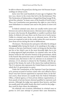be able to observe the grand jury during your visit because its proceedings are always secret.

Juries were first used hundreds of years ago in England. The jury was a factor in the events that led to the Revolutionary War. The Declaration of Independence charged that King George III deprived the colonists "in many cases, of the benefits of trial by jury." Thus, our Constitution now guarantees the right to a jury trial to most defendants in criminal cases and to the parties in most civil cases.

In federal criminal cases, there are usually twelve jurors and between one and six alternate jurors. Alternate jurors replace regular jurors who become ill, disqualified, or unable to perform their duties. In federal civil cases there can be from six to twelve jurors. Unlike in criminal cases, there are no alternate jurors. All of the jurors are required to join in the verdict unless the court excuses a juror from service during the trial or deliberations.

*The lawyers.* The lawyers for each party will either be sitting at the **counsel** tables facing the bench or be speaking to the judge, a witness, or the jury. Each lawyer's task is to bring out the facts that put his or her client's case in the most favorable light, but to do so using approved legal procedures. In criminal cases, one of the lawyers works for the executive branch of the government, which is the branch that prosecutes cases on behalf of society. In federal criminal cases, that lawyer is the U.S. attorney or an assistant U.S. attorney. A U.S. attorney is chosen by the President, with the approval of the Senate, for each of the ninety-four judicial districts. The U.S. attorney also represents the United States in civil cases in which the U.S. government is a party.

Under the Constitution, as the Supreme Court has interpreted it, persons accused of serious crimes who can't afford to hire a lawyer may have lawyers appointed to represent them. In the federal courts, these lawyers are usually from the Federal Defenders Office, a federal agency, or from private defense organizations, or from panels of private lawyers deemed qualified to represent such persons. Although the judge may appoint these lawyers, and they are usually paid with public funds, they don't work for the judge they work for their client, the defendant.

On relatively rare occasions, defendants in criminal cases or parties in civil cases attempt to present their cases themselves,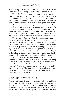without using a lawyer. Parties who act on their own behalf are said to act **pro se**, a Latin phrase meaning "on one's own behalf."

*The parties.* The parties may or may not be present at the counsel tables with their lawyers. Defendants in criminal cases have a constitutional right to be present. Specifically, the Sixth Amendment to the Constitution provides that "the accused shall enjoy the right . . . to be confronted with the witnesses against him." Parties in civil cases may be present if they wish, but are often absent.

*The witnesses.* Witnesses give testimony about the facts in the case that are in dispute. During their testimony, they sit on the witness stand, facing the courtroom. Because the witnesses are asked to testify by one party or the other, they are often referred to as plaintiff's witnesses, government witnesses, or defense witnesses.

*The courtroom deputy or clerk.* The **courtroom deputy** or **courtroom clerk**, who is usually seated near the judge, administers the oaths to the witnesses, marks the exhibits, and generally helps the judge keep the trial running smoothly. Sometimes the deputy or clerk is away from the courtroom performing other tasks during parts of the trial. The courtroom deputy is employed by the office of the **clerk of court**. The clerk of court is appointed by all of the judges on the court and works closely with the **chief district judge**, who is responsible for the court's overall administration.

*The court reporter.* The **court reporter** sits near the witness stand and usually types the official record of the trial (everything that is said or introduced into evidence) on a stenographic machine. (In some courts, the official record is taken on an electronic recorder.) Federal law requires that a word-for-word record be made of every trial. The court reporter also produces a written **transcript** of the proceedings if either party **appeals** the case or requests a transcript to review.

# What Happens During a Trial?

*Pretrial activity in civil cases.* In most cases, the lawyers and judge agree before trial, often at **pretrial conferences**, what issues are in dispute and must be decided by the jury and what issues are not in dispute. Both sides reveal whom they intend to call as witnesses and, generally, what evidence they will introduce at trial. However,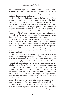just because they agree on these matters before the trial doesn't mean that they agree on how the case should be decided. Rather, the judge holds a conference to avoid wasting time during the trial on issues that can be decided before.

During the pretrial **discovery** process, the lawyers try to learn as much as possible about their opponent's case, as well as build their own case, by asking to inspect documents and talking to people who know something about what happened. If the lawyers have done a thorough job of preparing the case, they shouldn't be surprised by any of the answers the opposing attorney's witnesses give to their questions during trial. One of the basic rules trial lawyers follow is "Don't ask a question if you don't know what the answer will be." The lawyers and witnesses for each side also prepare for the trial by rehearsing their questions and answers.

Frequently, all of this pretrial activity in a civil case results in a decision by both parties to **settle** the case without going through a trial. Settling does not necessarily mean that the parties have reconciled their dispute; they have merely agreed to a compromise out of court. Often it means that the plaintiff has agreed to accept an amount for damages that is less than the amount he or she originally claimed.

*Pretrial activity in criminal cases.* A good defense lawyer will also conduct a thorough investigation before trial in a criminal case, interviewing witnesses, visiting the scene of the crime, and examining any physical evidence. An important part of this investigation is determining whether the government can use certain items of evidence. For example, the government cannot use evidence that the defendant committed a previous crime to prove that the defendant committed a crime in another case. But there are some circumstances in which evidence of a previous crime may be used. Or, the defendant may argue that the government cannot use the defendant's confession because it was obtained in violation of the defendant's rights. Resolution of these evidentiary issues before the trial can result either in the government's dropping the charges or in the defendant deciding to plead guilty.

*Jury selection.* If the parties have chosen a jury trial, it begins with the selection of jurors. Citizens are selected for jury service through a process that is set out in laws passed by Congress and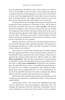in rules adopted by the federal courts. First, citizens are called to court to be available to serve on juries. These citizens are selected at random from lists of all registered or actual voters in the district or from voter lists supplemented by some other sources of names, such as licensed drivers. The judge and the lawyers in each case then choose the persons who will actually serve on the jury.

To choose the jurors, the judge and sometimes the lawyers ask prospective jurors questions to determine if they will be able to decide the case fairly. This process is called **voir dire**. The lawyers may ask the judge to excuse any jurors they think may not be able to be impartial, such as those who know either party in the case or who have had an experience that might make them favor one side over the other. The lawyers may reject a certain number of jurors without giving any justification. Lawyers may not, however, reject jurors on the basis of race or gender.

*Opening statements.* Once the jury has been selected, the lawyers for both sides give their opening statements. The purpose of the opening statements is to allow each side to present its version of the evidence to be offered.

*Direct and cross-examination.* Introduction of evidence begins after the opening statements. First, the government's attorney, or the plaintiff's lawyer, questions his or her witnesses. When lawyers question the witnesses whom they have called to testify, it is called **direct examination**. After the direct examination of a government or plaintiff's witness, the defendant's lawyer may question the witness; this is called **cross-examination**. If, after the cross-examination, the plaintiff's lawyer wants to ask additional questions, he or she may do so on a redirect examination, after which the defendant's lawyer has an opportunity for a re–cross-examination. After all of the plaintiff's witnesses have been examined, the defense calls its witnesses, and the same procedures are repeated.

The lawyers often introduce documents, such as bank records, or objects, such as firearms, as additional evidence. These items are called exhibits.

*Inadmissible evidence.* The courts have established rules that must be observed in court proceedings to determine facts. For example, the Supreme Court has ruled that a defendant's out-ofcourt confession to a crime may not be used in a trial as evidence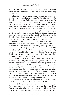of the defendant's guilt if the confession resulted from coercion. The courts adopted this rule because forced confessions obviously aren't trustworthy.

The federal courts have also adopted a rule to prevent repeated injuries to others following a plaintiff's injury. To encourage the defendant to repair the faulty condition that may have caused the injury, the rule forbids the introduction of any evidence of such repair, which could be seen as an admission of guilt. Thus, a lawyer for a plaintiff who slipped on a wet sidewalk cannot introduce evidence that the defendant put up a "slippery when wet" sign after the plaintiff's accident. Without this rule, the act of putting up the sign could be interpreted as an admission that the sign should have been there at the time of the plaintiff's accident and that the defendant had a duty to warn the plaintiff of the hazardous condition. Such an admission would damage the defendant's case.

Another rule concerning the introduction of evidence prohibits the use of secondhand testimony, called **hearsay**. Under this rule, witnesses may not testify to something that they heard about from someone else. If John Smith, for example, testified, "Bill Jones told me he saw Frank Williams rob the Green Valley Bank," the testimony would be inadmissible as evidence. The courts have decided that hearsay is usually not very reliable and, therefore, cannot be used as evidence in a trial.

Sometimes a lawyer will break one of these rules, either inadvertently or on purpose, and will try to present evidence to the jury that it shouldn't be permitted to hear. If an opposing lawyer believes that testimony asked for or already given is improper, the lawyer may object to it and may ask the judge to instruct the witness not to answer the question or to tell the jury to disregard an answer that has already been given. The judge can either sustain the objection and do as the objecting lawyer requests, or overrule it and permit the testimony. When an objection is made, the judge alone decides whether the testimony is admissible.

Occasionally, the judge and the lawyers for both sides confer at the bench—sometimes called at **sidebar**—out of the jury's earshot but with the court reporter present to record what they say. At other times, they might confer in the judge's **chambers**. Often, they are discussing whether a certain piece of evidence is admissible. The court doesn't want the jurors to hear such a discussion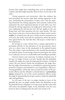because they might hear something that can't be admitted into evidence and that might prejudice them in favor of one side or the other.

*Closing arguments and instructions.* After the evidence has been presented, the lawyers make their closing arguments to the jury, concluding the presentation of their cases. Like the opening statements, the closing arguments don't present evidence but summarize the most important features of each side's case. Following the closing arguments, the judge gives instructions to the jury, explaining the relevant law, how the law applies to the case being tried, and what questions the jury must decide. The jury then retires to the jury room to discuss the evidence and to reach a **verdict**. In criminal cases, the jury's verdict must be unanimous. In civil cases, the verdict must also be unanimous, unless the parties have agreed before the trial that they will accept a verdict that is not unanimous.

By serving on a jury, citizens have a unique opportunity to participate directly in the operation of our government. Jurors serve as a direct voice of the community in the judicial branch. They also make a vital contribution to the smooth functioning of our judicial system. To encourage citizens to participate, the courts try to make jury service as comfortable and rewarding as possible.

*Posttrial matters and sentencing.* In federal criminal cases, if the jury (or judge, if there is no jury) decides that the defendant is guilty, the judge sets a date for imposing the sentence. In federal courts, the jury doesn't decide the punishment; the judge does. But the judge's determination is controlled by sentencing statutes passed by Congress and assisted by a set of guidelines, called sentencing guidelines, which take into account the nature of the particular offense and the offender's criminal history. A **presentence report**, prepared by one of the court's probation officers, assists the judge in determining the proper sentence under the applicable rules and guidelines.

In civil cases, if the jury (or judge) decides in favor of the plaintiff, the jury (or judge) usually orders the defendant to pay the plaintiff money (damages) or to take some specific action that will restore the plaintiff's rights. If the defendant wins the case, however, there is nothing more the trial court needs to do.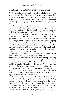# What Happens After the Trial or Guilty Plea?

A defendant who is found guilty in a federal criminal trial and the losing party in a federal civil case both have a right to appeal their case to the U.S. court of appeals. The grounds for appeal usually allege that the district judge made an error either in procedure (such as by admitting improper evidence) or in interpreting the law.

The government may not appeal if a defendant in a criminal case is found not guilty, because the double jeopardy clause in the Fifth Amendment to the Constitution provides that no person shall "be twice put in jeopardy of life or limb" for the same offense. This reflects our society's belief that, even if a second or third trial might finally find a defendant guilty, it is not proper to allow the government to harass an acquitted defendant through repeated retrials. The government may appeal in civil cases, as any other party may. Also, the losing party may not appeal if there was no trial—if the defendant decided to plead guilty or if the parties settled their civil case out of court. However, a defendant who pleads guilty may have the right to appeal his or her sentence. The government may also sometimes appeal a sentence.

An appeal in a federal criminal case usually proceeds in the following manner: Suppose a law is passed by Congress that prohibits demonstrations within 500 feet of any embassy. Following the enactment of the law, a group of six people stand on a street corner near the embassy of Malandia and ask passersby to sign a petition protesting Malandia's foreign policy. The six people are arrested and charged with committing a federal misdemeanor. At trial, they testify that they were careful to stay more than 500 feet away from the embassy. However, the U.S. attorney calls a police officer as a witness, and he testifies that the corner they were standing on is within 500 feet of the embassy.

Before the trial jury begins its deliberations, the lawyer for the defendants asks the district judge to instruct the jury that collecting signatures on a petition is not a "demonstration" and, therefore, if that was all they did, they weren't violating the law. The defendants' lawyer also argues that the law violates the defendants' First Amendment right to free speech, and therefore the case against them should be dismissed. The judge disagrees on both points.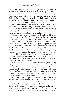She instructs the jury that collecting signatures on a petition is a demonstration and refuses to dismiss the case, saying that Congress may prohibit demonstrations that pose a threat to foreign embassies without violating the First Amendment. To reach her decision, the judge consults **precedents**—similar cases that have already been decided by other courts. She pays special attention to prior decisions of the court of appeals for her circuit.

Because the judge has determined that collecting signatures is a demonstration and that Congress has the constitutional power to prohibit a demonstration near an embassy, she instructs the jury to decide, on the basis of the evidence, whether the defendants collected signatures within 500 feet of the embassy.

Suppose that the jury finds that the defendants did collect signatures within 500 feet of the embassy, and the defendants are convicted of violating the law. The defendants may then appeal this decision to the U.S. court of appeals. A court of appeals would rarely throw out the jury's factual finding that the protesters were within 500 feet of the embassy. However, the court of appeals may decide that the district judge wrongly interpreted the law; it may decide that Congress didn't intend for the law to prohibit gathering signatures on a petition. After deciding this, the court of appeals will probably determine that it doesn't have to decide whether it was unconstitutional for Congress to prohibit demonstrations near embassies. That decision will have to wait for a case in which there is an actual demonstration.

If the court of appeals decides that the trial judge incorrectly interpreted the law, as in the example, then it will **reverse** the district court's decision. In other words, the court of appeals will say that the district judge made a mistake in interpreting the law, and thus the defendants are not guilty after all. However, most of the time—but certainly not always—courts of appeals **uphold**, rather than reverse, district court decisions.

Sometimes when a higher court reverses the decision of the district court, it will send the case back to the district court for another trial, or in legal terms, **remand** it. For example, in the famous *Miranda* case, the Supreme Court ruled that Ernesto Miranda's confession could not be used as evidence because he had not been advised of his right to remain silent or of his right to have a lawyer present during questioning. However, the government did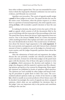have other evidence against him. The case was remanded for a new trial at which the improperly obtained confession was not used as evidence, and Miranda was convicted.

*Appellate court procedure.* The courts of appeals usually assign a **panel** of three judges to each case. The panel decides the case for the entire court. Sometimes, when the parties request it, or when there is a question of unusual importance, the entire appeals court, sitting **en banc**, will reconsider a panel's decision or hear the case anew.

In making its decision, the panel reviews key parts of the **record** on appeal, which consists of all the documents filed in the case at trial along with the transcript of the proceedings at the trial. The panel then learns about the lawyers' legal arguments from two sources. One is the lawyers' **briefs**. Briefs are written documents (often anything but brief) that explain each side's case and tell why the court should decide in its favor. The second source of information about the lawyers' legal arguments is the **oral argument**. If the court permits oral argument, each side's lawyers have a limited amount of time to explain its case to the judges in a formal courtroom session, and the judges frequently question them about the relevant law.

After the submission of briefs and oral argument, the judges discuss the case privately, consider any relevant precedents, and reach a decision. At least two of the three judges on the panel must agree with the decision. One of those who agree is chosen to write an **opinion**, which announces the decision and explains it. Any judge who disagrees with the majority's opinion may file a dissenting opinion, giving his or her reasons for disagreeing. Many appellate opinions are published in books of opinions called reporters. The opinions are read carefully by other judges and lawyers looking for precedents to guide them in their own cases. The accumulated judicial opinions make up a body of law known as **case law**, which is usually an accurate predictor of how future cases will be decided. Increasingly, the courts of appeals use short, unsigned opinions, which often are not published, for decisions that, in the judges' view, are important only to the parties and contribute nothing to the case law.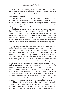If you visit a court of appeals in session, you'll notice how it differs from the federal trial courts. There are no jurors, witnesses, or court reporters. The lawyers for both sides are present, but the parties usually are not.

*The Supreme Court of the United States.* The Supreme Court is the highest court in the nation. It is a different kind of appeals court—its major function is not correcting errors made by trial judges, but clarifying the law when other courts disagree about the interpretation of the Constitution or federal laws.

Unlike the U.S. courts of appeals, however, the Supreme Court does not have to hear every case that it is asked to review. The Supreme Court decides whether or not it will hear a case. Each year, losing parties ask the Supreme Court to review about 8,000 of the approximately 50 million cases handled by the state and federal courts. These cases come to the Court as petitions for **writ of certiorari**. The Court selects only about 80 of the most significant cases to review.

 The decisions the Supreme Court hands down on cases appealed from lower courts set precedents for the interpretation of the Constitution and federal laws that all other courts, both state and federal, must follow. This power of **judicial review** makes the Supreme Court's role in our government vital. Judicial review is the power of any court, when deciding a case, to declare that a law passed by a legislature or an action of an executive official is invalid because it is inconsistent with the Constitution. Although district courts, courts of appeals, and state courts can exercise the power of judicial review, their decisions are always subject to review by the Supreme Court on appeal. When the Supreme Court declares a law unconstitutional, however, its decision can only be overruled by a later decision of the Supreme Court or by an amendment to the Constitution. Seven of the twenty-seven amendments to the Constitution have invalidated decisions of the Supreme Court. However, most Supreme Court cases don't concern the constitutionality of laws but the interpretation of laws passed by Congress.

Although Congress has steadily increased the number of district and appeals court judges over the years, the Supreme Court has remained the same size since 1869, with a Chief Justice and eight associate justices. Like all federal judges, the justices are ap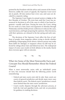pointed by the President with the advice and consent of the Senate. However, unlike the courts of appeals, the Supreme Court never sits in panels. All nine justices hear every case, and cases are decided by a majority ruling.

The Supreme Court begins its annual session or **term** on the first Monday of October. The term lasts until the Court has announced its decisions in all of the cases in which it has heard argument—usually until June. During the term, the Court, sitting for two weeks at a time, hears oral argument on Monday through Wednesday and then holds private conferences to discuss the cases, reach decisions, and begin preparing the opinions. Most decisions, with their opinions, are released in the late spring and early summer.

The decisions of the Supreme Court affect the lives of millions of people, from magazine editors trying to decide whether publishing a disparaging article about a famous person may make them liable for damages, to taxpayers whose tax bill may be affected by rulings about state and federal tax laws. The widespread impact of some cases results in lively debates in the media. Rarely does everyone agree with an outcome.

 $\sim$   $\sim$   $\sim$ 

#### What Are Some of the Most Noteworthy Facts and Concepts You Should Remember About the Federal Courts?

What is most noteworthy varies with an individual's point of view, but everyone should find the following points worth remembering:

- Federal and state courts exist side by side. State courts are courts of general jurisdiction and decide many more cases than federal courts. The federal courts' jurisdiction is much more limited than the state courts' jurisdiction.
- Courts resolve disputes through the adversary process, at both the trial and appellate levels, and rely on precedents for guidance in making decisions.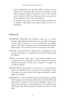- Every individual has an absolute right to bring a case in federal court (assuming the court has jurisdiction), along with an absolute right of appeal for review of the district court's decision. Only in rare instances does a case go as far as the Supreme Court of the United States.
- In criminal cases, the courts provide legal assistance free of charge to defendants who cannot afford to pay for it themselves.

# *Glossary*

- ADVERSARY PROCESS—the method courts use to resolve disputes. Through the adversary process, each side in a dispute has the right to present its case as persuasively as possible, subject to the rules of evidence, and an independent fact finder, either judge or jury, decides in favor of one side or the other.
- ANSWER—the formal written statement by a defendant in a civil case that responds to a complaint and sets forth the grounds for defense.
- APPEAL—a request, made after a trial, asking another court (usually the court of appeals) to decide whether the trial was conducted properly. To make such a request is "to appeal" or "to take an appeal."
- ARRAIGNMENT (*pronounced* a-rain-ment)—a proceeding in which an individual who is accused of committing a crime is brought into court, told of the charges, and asked to plead guilty or not guilty.
- BANKRUPTCY—refers to federal statutes and judicial proceedings involving persons or businesses that cannot pay their debts and thus seek the assistance of the court in getting a "fresh start." Under the protection of the bankruptcy court, debtors may "discharge" their debts, perhaps by paying a portion of each debt.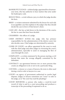- BANKRUPTCY JUDGE—a federal judge, appointed for a fourteenyear term, who has authority to hear matters that arise under the bankruptcy code.
- BENCH TRIAL—a trial without a jury, in which the judge decides the facts.
- BRIEF—a written statement submitted by the lawyer for each side in an appellate case that explains to the judges why they should decide the case in favor of that lawyer's client.
- CASE LAW—the law as laid down in the decisions of the courts; the law in cases that have been decided.
- CHAMBERS—the offices of a judge.
- CHIEF DISTRICT JUDGE—the judge who has primary responsibility for the administration of the district court, but also decides cases. Chief judges are determined by seniority.
- CLERK OF COURT—an officer appointed by the court to work with the chief judge and other judges in overseeing the court's administration, especially to assist in managing the flow of cases through the court.
- COMPLAINT—a written statement by the person starting a civil lawsuit that states the wrongs allegedly committed by the defendant.
- CONTRACT—an agreement between two or more persons that creates an obligation to do or not to do a particular thing.
- COUNSEL—a lawyer or a team of lawyers; the term is often used during a trial to refer to lawyers in a case.
- COURT—an agency of government authorized to resolve legal disputes. Judges or lawyers sometimes use "court" to refer to the judge, as in "the court has read the pleadings."
- COURT REPORTER—a person who makes a word-for-word record of what is said in a court proceeding and produces a transcript of the proceeding if requested to do so.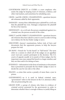- COURTROOM DEPUTY or CLERK—a court employee who assists the judge by keeping track of witnesses, evidence, and other trial matters, and sometimes by scheduling cases.
- CROSS- (and RE–CROSS-) EXAMINATION—questions lawyers ask witnesses called by their opponents.
- DAMAGES—money that a defendant pays a plaintiff in a civil case that the plaintiff has won. Damages compensate the plaintiff for his or her injuries.
- DEFENDANT—in a civil suit, the person complained against; in a criminal case, the person accused of the crime.
- DIRECT (and RE-DIRECT) EXAMINATION—questions lawyers ask witnesses they have asked to come to court in order to bring out evidence for the fact finder (judge or jury).
- DISCOVERY—lawyers' examinations, before trial, of facts and documents that the opponents possess, to help the lawyers prepare for trial.
- EN BANC—French for "in the bench" or "full bench." The term refers to a session in which all of the judges on an appellate court (not just a panel) participate in the decision. The U.S. courts of appeals usually sit in panels of three judges, but for important cases may expand the bench to a larger number, and they are then said to be sitting en banc.
- EVIDENCE—information in the form of testimony or documents that is presented to persuade the fact finder (judge or jury) to decide the case for one side or the other.
- FELONY—a crime that carries a penalty of more than a year in prison.
- GOVERNMENT—as it is used in federal criminal cases, "government" refers to the lawyers in the U.S. attorney's office who are prosecuting the case.
- GRAND JURY—a group of citizens who listen to evidence of criminal activity presented by the government in order to determine whether there is enough evidence to justify filing an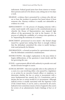indictment. Federal grand juries have from sixteen to twentythree persons and serve for about a year, sitting one or two days a week.

- HEARSAY—evidence that is presented by a witness who did not see or hear the incident in question but heard about it from someone else. Hearsay evidence is usually not admissible as evidence in a trial.
- IMPEACHMENT—(1) the process of charging someone with a crime (used mainly with respect to the constitutional process whereby the House of Representatives may impeach high officers of the government for trial in the Senate); (2) the process of calling the credibility of a witness into question, as in "impeaching the testimony of a witness."
- INDICTMENT (*pronounced* in-DITE-ment)—the formal charge issued by a grand jury stating that there is enough evidence that the defendant committed the crime to justify having a trial; used primarily for felonies.
- INFORMATION—a formal accusation by a government attorney that the defendant committed a misdemeanor.
- INSTRUCTIONS—the judge's explanation to the jury, before it begins deliberations, of the questions it must decide and the law governing the case.
- JUDGE—a government official with authority to preside over and decide lawsuits brought to courts.
- JUDICIAL REVIEW—this term typically refers to the authority of a court, in a case involving either a law passed by a legislature or an action by an executive branch officer or employee, to determine whether the law or action is inconsistent with a more fundamental law, namely the U.S. Constitution, and to declare the law or action invalid if it is inconsistent. Although judicial review is usually associated with the Supreme Court of the United States, it can be, and is, exercised by all courts. Judicial review sometimes means a form of appeal to the courts for review of an administrative body's findings of fact or of law.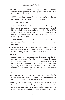- JURISDICTION—(1) the legal authority of a court to hear and decide a certain type of case; (2) the geographic area over which the court has authority to decide cases.
- LAWSUIT—an action instituted by a party in a civil court alleging that another party failed to perform a legal duty.
- LITIGANTS—*see* PARTIES.
- MAGISTRATE JUDGE—in federal court, the U.S. magistrate judge assists the district judges in preparing cases for trial. Magistrate judges may also conduct some criminal trials if the defendant agrees to have the case heard by a magistrate judge instead of a district judge, and they may conduct civil trials when the parties so agree.
- MISDEMEANOR—usually an offense less severe than a felony; generally punishable by a fine only or by imprisonment of less than a year.
- MISTRIAL—a trial that has been terminated because of some extraordinary event, a fundamental error prejudicial to the defendant, or a jury that is unable to reach a verdict.
- OPINION—a judge's written explanation of a decision in a case or some aspect of a case. An opinion of the court explains the decision of the court or of a majority of the judges. A dissenting opinion is an explanation by one or more judges if they believe the decision or opinion of the court is wrong. A concurring opinion agrees with the decision of the court but offers further comment or a different reason for the decision. A per curiam opinion is an opinion for the court not signed by an individual judge.
- ORAL ARGUMENT—in appellate cases, an opportunity for the lawyers for each side to appear before the judges to summarize their positions and answer the judges' questions.
- PANEL—(1) in appellate cases, a group of three judges assigned to decide the case; (2) in the process of jury selection, the group of potential jurors from which the jury is chosen; (3) in criminal cases, a group of private lawyers whom the court has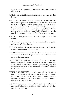approved to be appointed to represent defendants unable to hire lawyers.

- PARTIES—the plaintiff(s) and defendant(s) to a lawsuit and their lawyers.
- PETIT JURY (or TRIAL JURY)—a group of citizens who hear the evidence presented by both sides at trial and determine the facts in dispute. Federal criminal juries consist of twelve persons (sometimes with one or two alternate jurors in case one or more of the twelve cannot continue). Federal civil juries consist of six to twelve persons. "Petit" is French for "small," thus distinguishing the trial jury from the larger grand jury.
- PLAINTIFF—the person who files the complaint in a civil lawsuit.
- PLEA—in a criminal case, the defendant's declaration of "guilty" or "not guilty" of the charges.
- PLEADINGS—in a civil case, the written statements of the parties stating their positions about the case.
- PRECEDENT (*pronounced* press-a-dent)—a court decision in an earlier case with facts and legal issues similar to those in a case currently before a court.
- PRESENTENCE REPORT—a probation officer's report prepared from an investigation conducted at the request of the court after a defendant is convicted of a crime. It provides the judge with extensive information to determine an appropriate sentence for the defendant.
- PRETRIAL CONFERENCE—a meeting of the judge and lawyers in a case to decide which matters are in dispute and should be presented to the jury, to review evidence and witnesses to be presented, to set a timetable for the case, and sometimes to discuss settlement of the case.
- PRO SE (*pronounced* pro say)—a Latin term meaning "on one's own behalf"; in courts, it refers to persons who present their own cases without lawyers.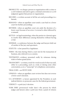- PROSECUTE—to charge a person or organization with a crime or a civil violation and seek to gain a criminal conviction or a civil judgment against that person or organization.
- RECORD—a written account of all the acts and proceedings in a lawsuit.
- REMAND—when an appellate court sends a case back to a lower court for further proceedings.
- REVERSE—when an appellate court sets aside the decision of a lower court because of an error. A reversal is often followed by a remand.
- SETTLE—in legal terminology, when the parties to a lawsuit agree to resolve their differences among themselves without having a trial.
- SIDEBAR—a conference between the judge and lawyers held out of earshot of the jury and spectators.
- STATUTE—a law passed by a legislature.
- TERM—the time during which a court sits for the transaction of business, also referred to as a session.
- TESTIMONY—evidence presented orally by witnesses during trials or before grand juries.
- TRANSCRIPT—a written, word-for-word record of what was said, either in a proceeding, such as a trial, or during some other conversation, as in a "transcript" of a telephone conversation.
- TRIAL JURY—*see* PETIT JURY.
- UPHOLD—when an appellate court reviews but does not reverse a lower court's decision.
- U.S. ATTORNEY—a lawyer appointed by the President, in each judicial district, to prosecute cases for the federal government.
- VERDICT—a petit jury's decision.
- VOIR DIRE (*pronounced* vwahr deer)—the process by which judges and lawyers select a petit jury from a panel of citizens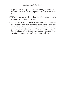eligible to serve. They do this by questioning the members of the panel. "Voir dire" is a legal phrase meaning "to speak the truth."

- WITNESS—a person called upon by either side in a lawsuit to give testimony before the court or jury.
- WRIT OF CERTIORARI—an order by a court to a lower court requiring the lower court to produce the records of a particular case tried so that the reviewing court can inspect the proceedings and determine whether there have been any irregularities. The Supreme Court of the United States uses the writ of certiorari as a discretionary device to select the cases it will hear.